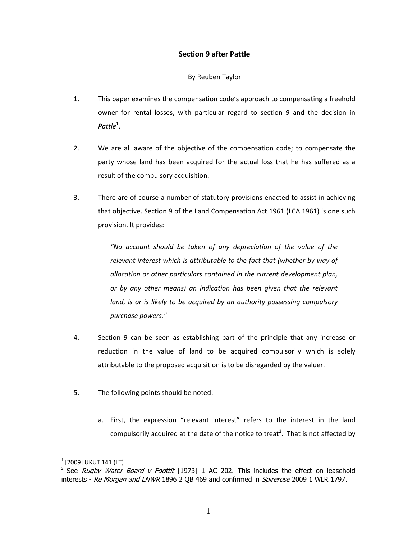# **Section 9 after Pattle**

## By Reuben Taylor

- 1. This paper examines the compensation code's approach to compensating a freehold owner for rental losses, with particular regard to section 9 and the decision in *Pattle*<sup>1</sup> .
- 2. We are all aware of the objective of the compensation code; to compensate the party whose land has been acquired for the actual loss that he has suffered as a result of the compulsory acquisition.
- 3. There are of course a number of statutory provisions enacted to assist in achieving that objective. Section 9 of the Land Compensation Act 1961 (LCA 1961) is one such provision. It provides:

*"No account should be taken of any depreciation of the value of the relevant interest which is attributable to the fact that (whether by way of allocation or other particulars contained in the current development plan, or by any other means) an indication has been given that the relevant land, is or is likely to be acquired by an authority possessing compulsory purchase powers."*

- 4. Section 9 can be seen as establishing part of the principle that any increase or reduction in the value of land to be acquired compulsorily which is solely attributable to the proposed acquisition is to be disregarded by the valuer.
- 5. The following points should be noted:
	- a. First, the expression "relevant interest" refers to the interest in the land compulsorily acquired at the date of the notice to treat<sup>2</sup>. That is not affected by

 $\overline{a}$ 

 $^{\rm 1}$  [2009] UKUT 141 (LT)

<sup>&</sup>lt;sup>2</sup> See *Rugby Water Board v Foottit* [1973] 1 AC 202. This includes the effect on leasehold interests - Re Morgan and LNWR 1896 2 QB 469 and confirmed in Spirerose 2009 1 WLR 1797.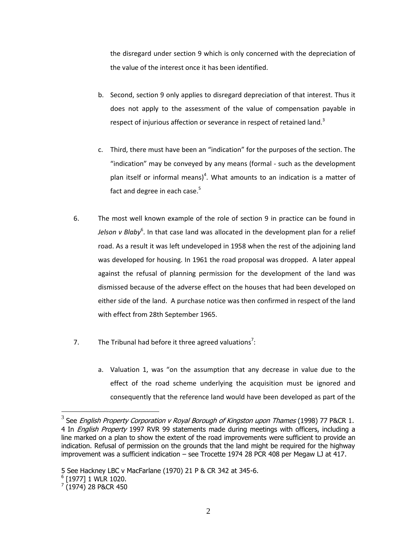the disregard under section 9 which is only concerned with the depreciation of the value of the interest once it has been identified.

- b. Second, section 9 only applies to disregard depreciation of that interest. Thus it does not apply to the assessment of the value of compensation payable in respect of injurious affection or severance in respect of retained land.<sup>3</sup>
- c. Third, there must have been an "indication" for the purposes of the section. The "indication" may be conveyed by any means (formal - such as the development plan itself or informal means)<sup>4</sup>. What amounts to an indication is a matter of fact and degree in each case. $5$
- 6. The most well known example of the role of section 9 in practice can be found in Jelson v Blaby<sup>6</sup>. In that case land was allocated in the development plan for a relief road. As a result it was left undeveloped in 1958 when the rest of the adjoining land was developed for housing. In 1961 the road proposal was dropped. A later appeal against the refusal of planning permission for the development of the land was dismissed because of the adverse effect on the houses that had been developed on either side of the land. A purchase notice was then confirmed in respect of the land with effect from 28th September 1965.
- 7. The Tribunal had before it three agreed valuations<sup>7</sup>:
	- a. Valuation 1, was "on the assumption that any decrease in value due to the effect of the road scheme underlying the acquisition must be ignored and consequently that the reference land would have been developed as part of the

 $\overline{a}$ 

 $^3$  See *English Property Corporation v Royal Borough of Kingston upon Thames* (1998) 77 P&CR 1. 4 In *English Property* 1997 RVR 99 statements made during meetings with officers, including a line marked on a plan to show the extent of the road improvements were sufficient to provide an indication. Refusal of permission on the grounds that the land might be required for the highway improvement was a sufficient indication – see Trocette 1974 28 PCR 408 per Megaw LJ at 417.

<sup>5</sup> See Hackney LBC v MacFarlane (1970) 21 P & CR 342 at 345-6.

<sup>6</sup> [1977] 1 WLR 1020.

 $^7$  (1974) 28 P&CR 450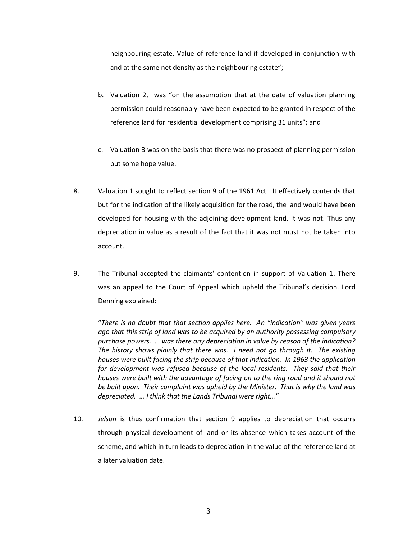neighbouring estate. Value of reference land if developed in conjunction with and at the same net density as the neighbouring estate";

- b. Valuation 2, was "on the assumption that at the date of valuation planning permission could reasonably have been expected to be granted in respect of the reference land for residential development comprising 31 units"; and
- c. Valuation 3 was on the basis that there was no prospect of planning permission but some hope value.
- 8. Valuation 1 sought to reflect section 9 of the 1961 Act. It effectively contends that but for the indication of the likely acquisition for the road, the land would have been developed for housing with the adjoining development land. It was not. Thus any depreciation in value as a result of the fact that it was not must not be taken into account.
- 9. The Tribunal accepted the claimants' contention in support of Valuation 1. There was an appeal to the Court of Appeal which upheld the Tribunal's decision. Lord Denning explained:

"*There is no doubt that that section applies here. An "indication" was given years ago that this strip of land was to be acquired by an authority possessing compulsory purchase powers. … was there any depreciation in value by reason of the indication? The history shows plainly that there was. I need not go through it. The existing houses were built facing the strip because of that indication. In 1963 the application for development was refused because of the local residents. They said that their houses were built with the advantage of facing on to the ring road and it should not be built upon. Their complaint was upheld by the Minister. That is why the land was depreciated. … I think that the Lands Tribunal were right…"* 

10. *Jelson* is thus confirmation that section 9 applies to depreciation that occurrs through physical development of land or its absence which takes account of the scheme, and which in turn leads to depreciation in the value of the reference land at a later valuation date.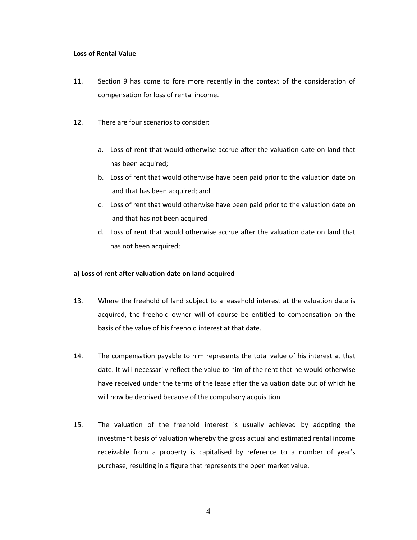#### **Loss of Rental Value**

- 11. Section 9 has come to fore more recently in the context of the consideration of compensation for loss of rental income.
- 12. There are four scenarios to consider:
	- a. Loss of rent that would otherwise accrue after the valuation date on land that has been acquired;
	- b. Loss of rent that would otherwise have been paid prior to the valuation date on land that has been acquired; and
	- c. Loss of rent that would otherwise have been paid prior to the valuation date on land that has not been acquired
	- d. Loss of rent that would otherwise accrue after the valuation date on land that has not been acquired;

## **a) Loss of rent after valuation date on land acquired**

- 13. Where the freehold of land subject to a leasehold interest at the valuation date is acquired, the freehold owner will of course be entitled to compensation on the basis of the value of his freehold interest at that date.
- 14. The compensation payable to him represents the total value of his interest at that date. It will necessarily reflect the value to him of the rent that he would otherwise have received under the terms of the lease after the valuation date but of which he will now be deprived because of the compulsory acquisition.
- 15. The valuation of the freehold interest is usually achieved by adopting the investment basis of valuation whereby the gross actual and estimated rental income receivable from a property is capitalised by reference to a number of year's purchase, resulting in a figure that represents the open market value.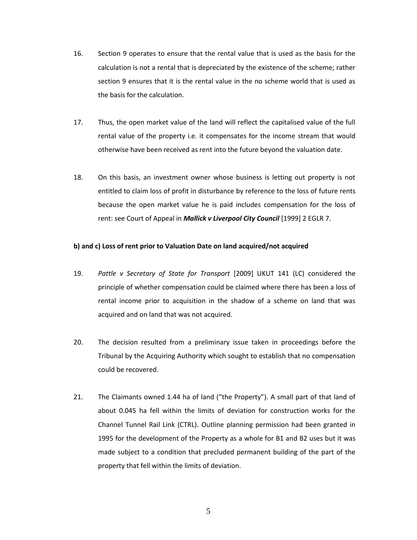- 16. Section 9 operates to ensure that the rental value that is used as the basis for the calculation is not a rental that is depreciated by the existence of the scheme; rather section 9 ensures that it is the rental value in the no scheme world that is used as the basis for the calculation.
- 17. Thus, the open market value of the land will reflect the capitalised value of the full rental value of the property i.e. it compensates for the income stream that would otherwise have been received as rent into the future beyond the valuation date.
- 18. On this basis, an investment owner whose business is letting out property is not entitled to claim loss of profit in disturbance by reference to the loss of future rents because the open market value he is paid includes compensation for the loss of rent: see Court of Appeal in *Mallick v Liverpool City Council* [1999] 2 EGLR 7.

### **b) and c) Loss of rent prior to Valuation Date on land acquired/not acquired**

- 19. *Pattle v Secretary of State for Transport* [2009] UKUT 141 (LC) considered the principle of whether compensation could be claimed where there has been a loss of rental income prior to acquisition in the shadow of a scheme on land that was acquired and on land that was not acquired.
- 20. The decision resulted from a preliminary issue taken in proceedings before the Tribunal by the Acquiring Authority which sought to establish that no compensation could be recovered.
- 21. The Claimants owned 1.44 ha of land ("the Property"). A small part of that land of about 0.045 ha fell within the limits of deviation for construction works for the Channel Tunnel Rail Link (CTRL). Outline planning permission had been granted in 1995 for the development of the Property as a whole for B1 and B2 uses but it was made subject to a condition that precluded permanent building of the part of the property that fell within the limits of deviation.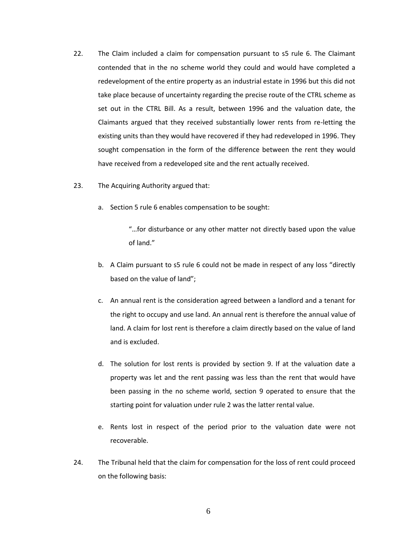- 22. The Claim included a claim for compensation pursuant to s5 rule 6. The Claimant contended that in the no scheme world they could and would have completed a redevelopment of the entire property as an industrial estate in 1996 but this did not take place because of uncertainty regarding the precise route of the CTRL scheme as set out in the CTRL Bill. As a result, between 1996 and the valuation date, the Claimants argued that they received substantially lower rents from re-letting the existing units than they would have recovered if they had redeveloped in 1996. They sought compensation in the form of the difference between the rent they would have received from a redeveloped site and the rent actually received.
- 23. The Acquiring Authority argued that:
	- a. Section 5 rule 6 enables compensation to be sought:

"…for disturbance or any other matter not directly based upon the value of land."

- b. A Claim pursuant to s5 rule 6 could not be made in respect of any loss "directly based on the value of land";
- c. An annual rent is the consideration agreed between a landlord and a tenant for the right to occupy and use land. An annual rent is therefore the annual value of land. A claim for lost rent is therefore a claim directly based on the value of land and is excluded.
- d. The solution for lost rents is provided by section 9. If at the valuation date a property was let and the rent passing was less than the rent that would have been passing in the no scheme world, section 9 operated to ensure that the starting point for valuation under rule 2 was the latter rental value.
- e. Rents lost in respect of the period prior to the valuation date were not recoverable.
- 24. The Tribunal held that the claim for compensation for the loss of rent could proceed on the following basis: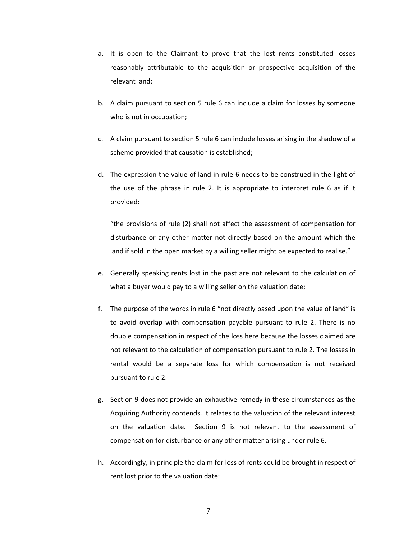- a. It is open to the Claimant to prove that the lost rents constituted losses reasonably attributable to the acquisition or prospective acquisition of the relevant land;
- b. A claim pursuant to section 5 rule 6 can include a claim for losses by someone who is not in occupation;
- c. A claim pursuant to section 5 rule 6 can include losses arising in the shadow of a scheme provided that causation is established;
- d. The expression the value of land in rule 6 needs to be construed in the light of the use of the phrase in rule 2. It is appropriate to interpret rule 6 as if it provided:

"the provisions of rule (2) shall not affect the assessment of compensation for disturbance or any other matter not directly based on the amount which the land if sold in the open market by a willing seller might be expected to realise."

- e. Generally speaking rents lost in the past are not relevant to the calculation of what a buyer would pay to a willing seller on the valuation date;
- f. The purpose of the words in rule 6 "not directly based upon the value of land" is to avoid overlap with compensation payable pursuant to rule 2. There is no double compensation in respect of the loss here because the losses claimed are not relevant to the calculation of compensation pursuant to rule 2. The losses in rental would be a separate loss for which compensation is not received pursuant to rule 2.
- g. Section 9 does not provide an exhaustive remedy in these circumstances as the Acquiring Authority contends. It relates to the valuation of the relevant interest on the valuation date. Section 9 is not relevant to the assessment of compensation for disturbance or any other matter arising under rule 6.
- h. Accordingly, in principle the claim for loss of rents could be brought in respect of rent lost prior to the valuation date: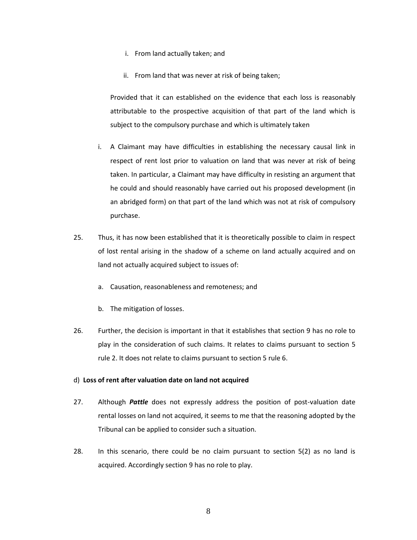- i. From land actually taken; and
- ii. From land that was never at risk of being taken;

Provided that it can established on the evidence that each loss is reasonably attributable to the prospective acquisition of that part of the land which is subject to the compulsory purchase and which is ultimately taken

- i. A Claimant may have difficulties in establishing the necessary causal link in respect of rent lost prior to valuation on land that was never at risk of being taken. In particular, a Claimant may have difficulty in resisting an argument that he could and should reasonably have carried out his proposed development (in an abridged form) on that part of the land which was not at risk of compulsory purchase.
- 25. Thus, it has now been established that it is theoretically possible to claim in respect of lost rental arising in the shadow of a scheme on land actually acquired and on land not actually acquired subject to issues of:
	- a. Causation, reasonableness and remoteness; and
	- b. The mitigation of losses.
- 26. Further, the decision is important in that it establishes that section 9 has no role to play in the consideration of such claims. It relates to claims pursuant to section 5 rule 2. It does not relate to claims pursuant to section 5 rule 6.

#### d) **Loss of rent after valuation date on land not acquired**

- 27. Although *Pattle* does not expressly address the position of post-valuation date rental losses on land not acquired, it seems to me that the reasoning adopted by the Tribunal can be applied to consider such a situation.
- 28. In this scenario, there could be no claim pursuant to section 5(2) as no land is acquired. Accordingly section 9 has no role to play.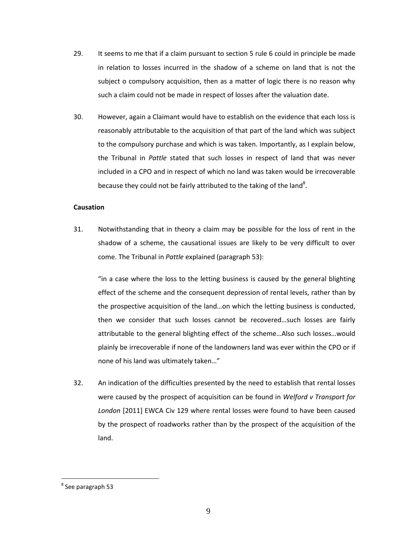- 29. It seems to me that if a claim pursuant to section 5 rule 6 could in principle be made in relation to losses incurred in the shadow of a scheme on land that is not the subject o compulsory acquisition, then as a matter of logic there is no reason why such a claim could not be made in respect of losses after the valuation date.
- 30. However, again a Claimant would have to establish on the evidence that each loss is reasonably attributable to the acquisition of that part of the land which was subject to the compulsory purchase and which is was taken. Importantly, as I explain below, the Tribunal in *Pattle* stated that such losses in respect of land that was never included in a CPO and in respect of which no land was taken would be irrecoverable because they could not be fairly attributed to the taking of the land<sup>8</sup>.

### **Causation**

31. Notwithstanding that in theory a claim may be possible for the loss of rent in the shadow of a scheme, the causational issues are likely to be very difficult to over come. The Tribunal in *Pattle* explained (paragraph 53):

"in a case where the loss to the letting business is caused by the general blighting effect of the scheme and the consequent depression of rental levels, rather than by the prospective acquisition of the land…on which the letting business is conducted, then we consider that such losses cannot be recovered…such losses are fairly attributable to the general blighting effect of the scheme…Also such losses…would plainly be irrecoverable if none of the landowners land was ever within the CPO or if none of his land was ultimately taken…"

32. An indication of the difficulties presented by the need to establish that rental losses were caused by the prospect of acquisition can be found in *Welford v Transport for London* [2011] EWCA Civ 129 where rental losses were found to have been caused by the prospect of roadworks rather than by the prospect of the acquisition of the land.

 $\overline{a}$ 

<sup>&</sup>lt;sup>8</sup> See paragraph 53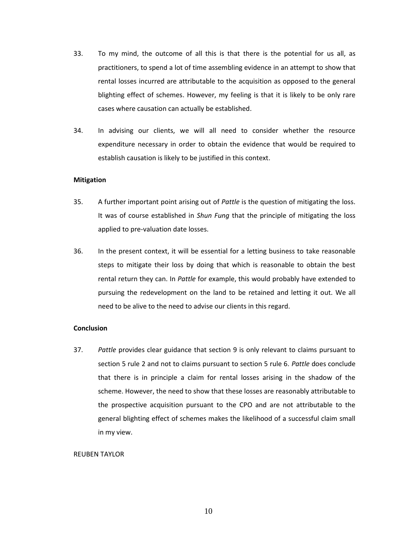- 33. To my mind, the outcome of all this is that there is the potential for us all, as practitioners, to spend a lot of time assembling evidence in an attempt to show that rental losses incurred are attributable to the acquisition as opposed to the general blighting effect of schemes. However, my feeling is that it is likely to be only rare cases where causation can actually be established.
- 34. In advising our clients, we will all need to consider whether the resource expenditure necessary in order to obtain the evidence that would be required to establish causation is likely to be justified in this context.

#### **Mitigation**

- 35. A further important point arising out of *Pattle* is the question of mitigating the loss. It was of course established in *Shun Fung* that the principle of mitigating the loss applied to pre-valuation date losses.
- 36. In the present context, it will be essential for a letting business to take reasonable steps to mitigate their loss by doing that which is reasonable to obtain the best rental return they can. In *Pattle* for example, this would probably have extended to pursuing the redevelopment on the land to be retained and letting it out. We all need to be alive to the need to advise our clients in this regard.

#### **Conclusion**

37. *Pattle* provides clear guidance that section 9 is only relevant to claims pursuant to section 5 rule 2 and not to claims pursuant to section 5 rule 6. *Pattle* does conclude that there is in principle a claim for rental losses arising in the shadow of the scheme. However, the need to show that these losses are reasonably attributable to the prospective acquisition pursuant to the CPO and are not attributable to the general blighting effect of schemes makes the likelihood of a successful claim small in my view.

#### REUBEN TAYLOR